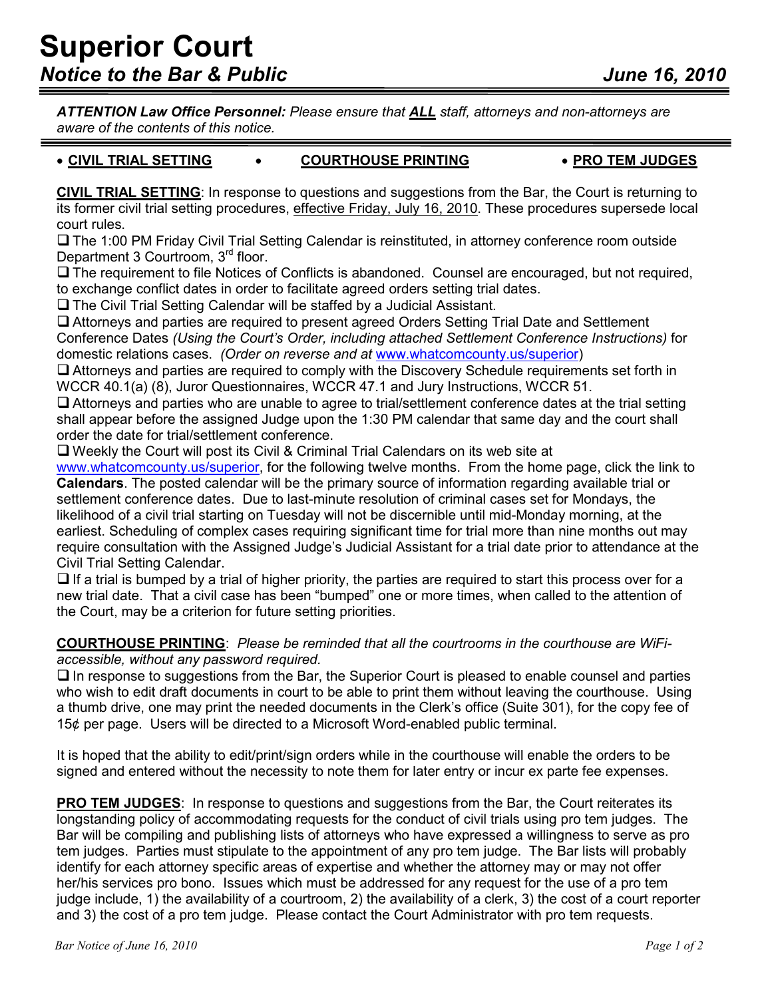*ATTENTION Law Office Personnel: Please ensure that ALL staff, attorneys and non-attorneys are aware of the contents of this notice.* 

## • **CIVIL TRIAL SETTING** • **COURTHOUSE PRINTING** • **PRO TEM JUDGES**

**CIVIL TRIAL SETTING**: In response to questions and suggestions from the Bar, the Court is returning to its former civil trial setting procedures, effective Friday, July 16, 2010. These procedures supersede local court rules.

□ The 1:00 PM Friday Civil Trial Setting Calendar is reinstituted, in attorney conference room outside Department 3 Courtroom, 3rd floor.

 $\Box$  The requirement to file Notices of Conflicts is abandoned. Counsel are encouraged, but not required, to exchange conflict dates in order to facilitate agreed orders setting trial dates.

The Civil Trial Setting Calendar will be staffed by a Judicial Assistant.

 Attorneys and parties are required to present agreed Orders Setting Trial Date and Settlement Conference Dates *(Using the Court's Order, including attached Settlement Conference Instructions)* for domestic relations cases. *(Order on reverse and at* www.whatcomcounty.us/superior)

 $\Box$  Attorneys and parties are required to comply with the Discovery Schedule requirements set forth in WCCR 40.1(a) (8), Juror Questionnaires, WCCR 47.1 and Jury Instructions, WCCR 51.

 Attorneys and parties who are unable to agree to trial/settlement conference dates at the trial setting shall appear before the assigned Judge upon the 1:30 PM calendar that same day and the court shall order the date for trial/settlement conference.

Weekly the Court will post its Civil & Criminal Trial Calendars on its web site at

www.whatcomcounty.us/superior, for the following twelve months. From the home page, click the link to **Calendars**. The posted calendar will be the primary source of information regarding available trial or settlement conference dates. Due to last-minute resolution of criminal cases set for Mondays, the likelihood of a civil trial starting on Tuesday will not be discernible until mid-Monday morning, at the earliest. Scheduling of complex cases requiring significant time for trial more than nine months out may require consultation with the Assigned Judge's Judicial Assistant for a trial date prior to attendance at the Civil Trial Setting Calendar.

 $\Box$  If a trial is bumped by a trial of higher priority, the parties are required to start this process over for a new trial date. That a civil case has been "bumped" one or more times, when called to the attention of the Court, may be a criterion for future setting priorities.

**COURTHOUSE PRINTING**: *Please be reminded that all the courtrooms in the courthouse are WiFiaccessible, without any password required.*

 $\Box$  In response to suggestions from the Bar, the Superior Court is pleased to enable counsel and parties who wish to edit draft documents in court to be able to print them without leaving the courthouse. Using a thumb drive, one may print the needed documents in the Clerk's office (Suite 301), for the copy fee of 15¢ per page. Users will be directed to a Microsoft Word-enabled public terminal.

It is hoped that the ability to edit/print/sign orders while in the courthouse will enable the orders to be signed and entered without the necessity to note them for later entry or incur ex parte fee expenses.

**PRO TEM JUDGES:** In response to questions and suggestions from the Bar, the Court reiterates its longstanding policy of accommodating requests for the conduct of civil trials using pro tem judges. The Bar will be compiling and publishing lists of attorneys who have expressed a willingness to serve as pro tem judges. Parties must stipulate to the appointment of any pro tem judge. The Bar lists will probably identify for each attorney specific areas of expertise and whether the attorney may or may not offer her/his services pro bono. Issues which must be addressed for any request for the use of a pro tem judge include, 1) the availability of a courtroom, 2) the availability of a clerk, 3) the cost of a court reporter and 3) the cost of a pro tem judge. Please contact the Court Administrator with pro tem requests.